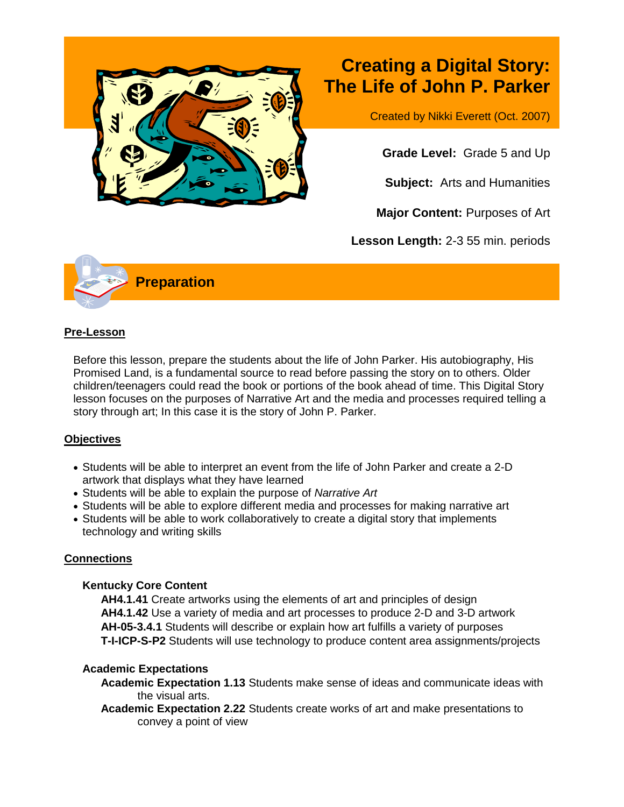

# **Creating a Digital Story: The Life of John P. Parker**

Created by Nikki Everett (Oct. 2007)

**Grade Level:** Grade 5 and Up

**Subject:** Arts and Humanities

**Major Content:** Purposes of Art

**Lesson Length:** 2-3 55 min. periods



#### **Pre-Lesson**

Before this lesson, prepare the students about the life of John Parker. His autobiography, His Promised Land, is a fundamental source to read before passing the story on to others. Older children/teenagers could read the book or portions of the book ahead of time. This Digital Story lesson focuses on the purposes of Narrative Art and the media and processes required telling a story through art; In this case it is the story of John P. Parker.

# **Objectives**

- Students will be able to interpret an event from the life of John Parker and create a 2-D artwork that displays what they have learned
- Students will be able to explain the purpose of *Narrative Art*
- Students will be able to explore different media and processes for making narrative art
- Students will be able to work collaboratively to create a digital story that implements technology and writing skills

# **Connections**

#### **Kentucky Core Content**

**AH4.1.41** Create artworks using the elements of art and principles of design **AH4.1.42** Use a variety of media and art processes to produce 2-D and 3-D artwork **AH-05-3.4.1** Students will describe or explain how art fulfills a variety of purposes **T-I-ICP-S-P2** Students will use technology to produce content area assignments/projects

# **Academic Expectations**

**Academic Expectation 1.13** Students make sense of ideas and communicate ideas with the visual arts.

**Academic Expectation 2.22** Students create works of art and make presentations to convey a point of view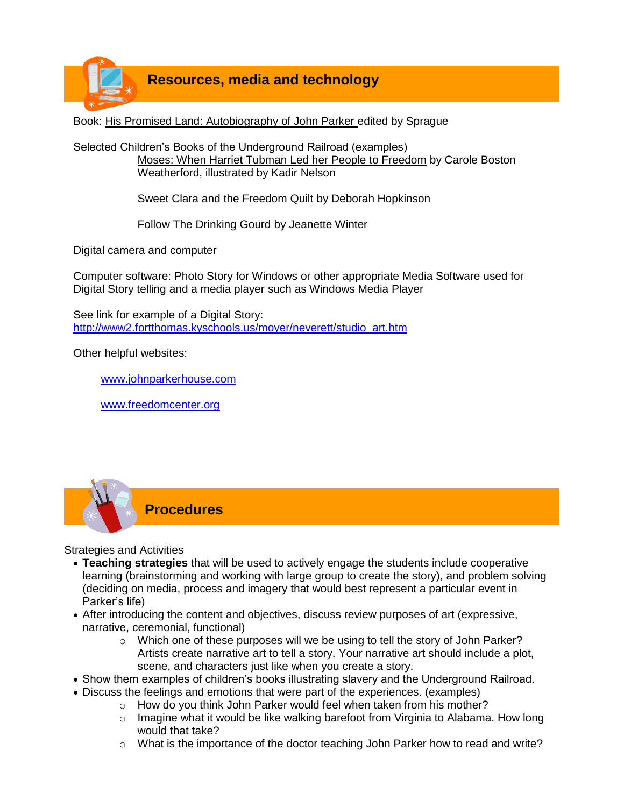

Book: His Promised Land: Autobiography of John Parker edited by Sprague

Selected Children's Books of the Underground Railroad (examples) Moses: When Harriet Tubman Led her People to Freedom by Carole Boston Weatherford, illustrated by Kadir Nelson

Sweet Clara and the Freedom Quilt by Deborah Hopkinson

Follow The Drinking Gourd by Jeanette Winter

Digital camera and computer

Computer software: Photo Story for Windows or other appropriate Media Software used for Digital Story telling and a media player such as Windows Media Player

See link for example of a Digital Story: [http://www2.fortthomas.kyschools.us/moyer/neverett/studio\\_art.htm](http://www2.fortthomas.kyschools.us/moyer/neverett/studio_art.htm)

Other helpful websites:

[www.johnparkerhouse.com](http://www.johnparkerhouse.com/)

[www.freedomcenter.org](http://www.freedomcenter.org/)



Strategies and Activities

- **Teaching strategies** that will be used to actively engage the students include cooperative learning (brainstorming and working with large group to create the story), and problem solving (deciding on media, process and imagery that would best represent a particular event in Parker's life)
- After introducing the content and objectives, discuss review purposes of art (expressive, narrative, ceremonial, functional)
	- $\circ$  Which one of these purposes will we be using to tell the story of John Parker? Artists create narrative art to tell a story. Your narrative art should include a plot, scene, and characters just like when you create a story.
- Show them examples of children's books illustrating slavery and the Underground Railroad.
- Discuss the feelings and emotions that were part of the experiences. (examples)
	- o How do you think John Parker would feel when taken from his mother?
	- $\circ$  Imagine what it would be like walking barefoot from Virginia to Alabama. How long would that take?
	- $\circ$  What is the importance of the doctor teaching John Parker how to read and write?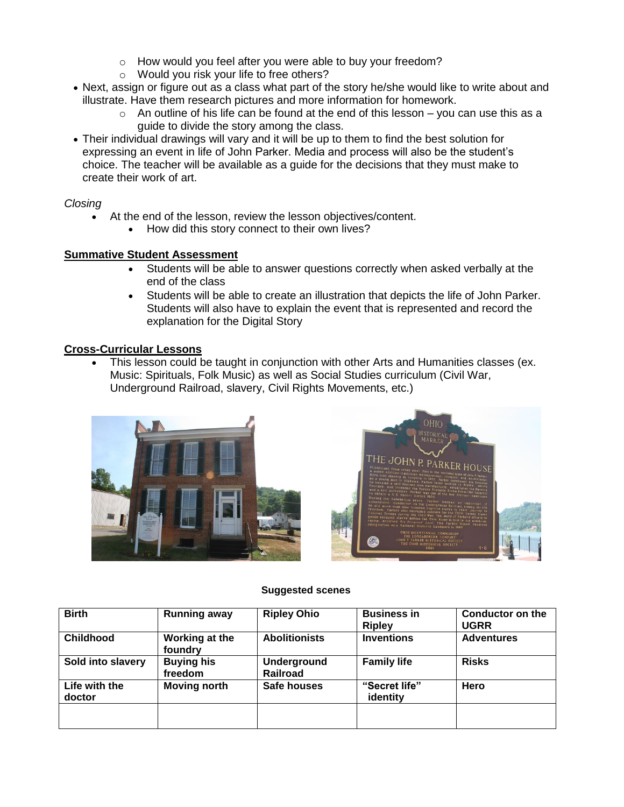- o How would you feel after you were able to buy your freedom?
- o Would you risk your life to free others?
- Next, assign or figure out as a class what part of the story he/she would like to write about and illustrate. Have them research pictures and more information for homework.
	- $\circ$  An outline of his life can be found at the end of this lesson you can use this as a guide to divide the story among the class.
- Their individual drawings will vary and it will be up to them to find the best solution for expressing an event in life of John Parker. Media and process will also be the student's choice. The teacher will be available as a guide for the decisions that they must make to create their work of art.

#### *Closing*

- At the end of the lesson, review the lesson objectives/content.
	- How did this story connect to their own lives?

#### **Summative Student Assessment**

- Students will be able to answer questions correctly when asked verbally at the end of the class
- Students will be able to create an illustration that depicts the life of John Parker. Students will also have to explain the event that is represented and record the explanation for the Digital Story

#### **Cross-Curricular Lessons**

 This lesson could be taught in conjunction with other Arts and Humanities classes (ex. Music: Spirituals, Folk Music) as well as Social Studies curriculum (Civil War, Underground Railroad, slavery, Civil Rights Movements, etc.)





#### **Suggested scenes**

| <b>Birth</b>            | <b>Running away</b>          | <b>Ripley Ohio</b>                    | <b>Business in</b><br><b>Ripley</b> | <b>Conductor on the</b><br><b>UGRR</b> |
|-------------------------|------------------------------|---------------------------------------|-------------------------------------|----------------------------------------|
| <b>Childhood</b>        | Working at the<br>foundry    | <b>Abolitionists</b>                  | <b>Inventions</b>                   | <b>Adventures</b>                      |
| Sold into slavery       | <b>Buying his</b><br>freedom | <b>Underground</b><br><b>Railroad</b> | <b>Family life</b>                  | <b>Risks</b>                           |
| Life with the<br>doctor | <b>Moving north</b>          | Safe houses                           | "Secret life"<br>identity           | Hero                                   |
|                         |                              |                                       |                                     |                                        |